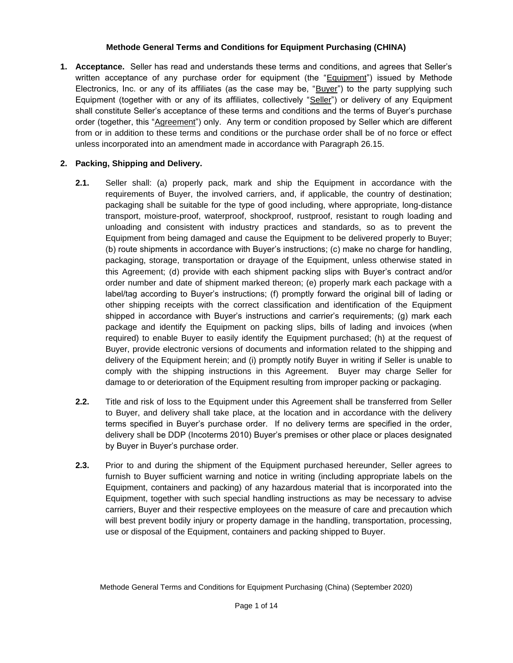### **Methode General Terms and Conditions for Equipment Purchasing (CHINA)**

**1. Acceptance.** Seller has read and understands these terms and conditions, and agrees that Seller's written acceptance of any purchase order for equipment (the "Equipment") issued by Methode Electronics, Inc. or any of its affiliates (as the case may be, "Buyer") to the party supplying such Equipment (together with or any of its affiliates, collectively "Seller") or delivery of any Equipment shall constitute Seller's acceptance of these terms and conditions and the terms of Buyer's purchase order (together, this "Agreement") only. Any term or condition proposed by Seller which are different from or in addition to these terms and conditions or the purchase order shall be of no force or effect unless incorporated into an amendment made in accordance with Paragraph 26.15.

## **2. Packing, Shipping and Delivery.**

- **2.1.** Seller shall: (a) properly pack, mark and ship the Equipment in accordance with the requirements of Buyer, the involved carriers, and, if applicable, the country of destination; packaging shall be suitable for the type of good including, where appropriate, long-distance transport, moisture-proof, waterproof, shockproof, rustproof, resistant to rough loading and unloading and consistent with industry practices and standards, so as to prevent the Equipment from being damaged and cause the Equipment to be delivered properly to Buyer; (b) route shipments in accordance with Buyer's instructions; (c) make no charge for handling, packaging, storage, transportation or drayage of the Equipment, unless otherwise stated in this Agreement; (d) provide with each shipment packing slips with Buyer's contract and/or order number and date of shipment marked thereon; (e) properly mark each package with a label/tag according to Buyer's instructions; (f) promptly forward the original bill of lading or other shipping receipts with the correct classification and identification of the Equipment shipped in accordance with Buyer's instructions and carrier's requirements; (g) mark each package and identify the Equipment on packing slips, bills of lading and invoices (when required) to enable Buyer to easily identify the Equipment purchased; (h) at the request of Buyer, provide electronic versions of documents and information related to the shipping and delivery of the Equipment herein; and (i) promptly notify Buyer in writing if Seller is unable to comply with the shipping instructions in this Agreement. Buyer may charge Seller for damage to or deterioration of the Equipment resulting from improper packing or packaging.
- **2.2.** Title and risk of loss to the Equipment under this Agreement shall be transferred from Seller to Buyer, and delivery shall take place, at the location and in accordance with the delivery terms specified in Buyer's purchase order. If no delivery terms are specified in the order, delivery shall be DDP (Incoterms 2010) Buyer's premises or other place or places designated by Buyer in Buyer's purchase order.
- **2.3.** Prior to and during the shipment of the Equipment purchased hereunder, Seller agrees to furnish to Buyer sufficient warning and notice in writing (including appropriate labels on the Equipment, containers and packing) of any hazardous material that is incorporated into the Equipment, together with such special handling instructions as may be necessary to advise carriers, Buyer and their respective employees on the measure of care and precaution which will best prevent bodily injury or property damage in the handling, transportation, processing, use or disposal of the Equipment, containers and packing shipped to Buyer.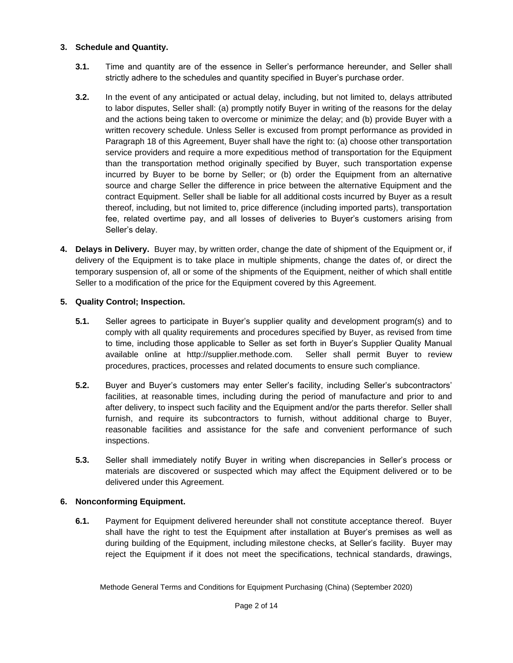### **3. Schedule and Quantity.**

- **3.1.** Time and quantity are of the essence in Seller's performance hereunder, and Seller shall strictly adhere to the schedules and quantity specified in Buyer's purchase order.
- **3.2.** In the event of any anticipated or actual delay, including, but not limited to, delays attributed to labor disputes, Seller shall: (a) promptly notify Buyer in writing of the reasons for the delay and the actions being taken to overcome or minimize the delay; and (b) provide Buyer with a written recovery schedule. Unless Seller is excused from prompt performance as provided in Paragraph 18 of this Agreement, Buyer shall have the right to: (a) choose other transportation service providers and require a more expeditious method of transportation for the Equipment than the transportation method originally specified by Buyer, such transportation expense incurred by Buyer to be borne by Seller; or (b) order the Equipment from an alternative source and charge Seller the difference in price between the alternative Equipment and the contract Equipment. Seller shall be liable for all additional costs incurred by Buyer as a result thereof, including, but not limited to, price difference (including imported parts), transportation fee, related overtime pay, and all losses of deliveries to Buyer's customers arising from Seller's delay.
- **4. Delays in Delivery.** Buyer may, by written order, change the date of shipment of the Equipment or, if delivery of the Equipment is to take place in multiple shipments, change the dates of, or direct the temporary suspension of, all or some of the shipments of the Equipment, neither of which shall entitle Seller to a modification of the price for the Equipment covered by this Agreement.

# **5. Quality Control; Inspection.**

- **5.1.** Seller agrees to participate in Buyer's supplier quality and development program(s) and to comply with all quality requirements and procedures specified by Buyer, as revised from time to time, including those applicable to Seller as set forth in Buyer's Supplier Quality Manual available online at http://supplier.methode.com. Seller shall permit Buyer to review procedures, practices, processes and related documents to ensure such compliance.
- **5.2.** Buyer and Buyer's customers may enter Seller's facility, including Seller's subcontractors' facilities, at reasonable times, including during the period of manufacture and prior to and after delivery, to inspect such facility and the Equipment and/or the parts therefor. Seller shall furnish, and require its subcontractors to furnish, without additional charge to Buyer, reasonable facilities and assistance for the safe and convenient performance of such inspections.
- **5.3.** Seller shall immediately notify Buyer in writing when discrepancies in Seller's process or materials are discovered or suspected which may affect the Equipment delivered or to be delivered under this Agreement.

### **6. Nonconforming Equipment.**

**6.1.** Payment for Equipment delivered hereunder shall not constitute acceptance thereof. Buyer shall have the right to test the Equipment after installation at Buyer's premises as well as during building of the Equipment, including milestone checks, at Seller's facility. Buyer may reject the Equipment if it does not meet the specifications, technical standards, drawings,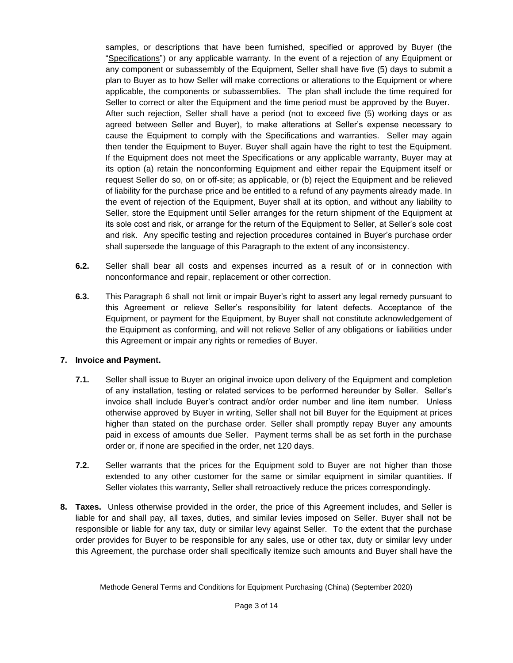samples, or descriptions that have been furnished, specified or approved by Buyer (the "Specifications") or any applicable warranty. In the event of a rejection of any Equipment or any component or subassembly of the Equipment, Seller shall have five (5) days to submit a plan to Buyer as to how Seller will make corrections or alterations to the Equipment or where applicable, the components or subassemblies. The plan shall include the time required for Seller to correct or alter the Equipment and the time period must be approved by the Buyer. After such rejection, Seller shall have a period (not to exceed five (5) working days or as agreed between Seller and Buyer), to make alterations at Seller's expense necessary to cause the Equipment to comply with the Specifications and warranties. Seller may again then tender the Equipment to Buyer. Buyer shall again have the right to test the Equipment. If the Equipment does not meet the Specifications or any applicable warranty, Buyer may at its option (a) retain the nonconforming Equipment and either repair the Equipment itself or request Seller do so, on or off-site; as applicable, or (b) reject the Equipment and be relieved of liability for the purchase price and be entitled to a refund of any payments already made. In the event of rejection of the Equipment, Buyer shall at its option, and without any liability to Seller, store the Equipment until Seller arranges for the return shipment of the Equipment at its sole cost and risk, or arrange for the return of the Equipment to Seller, at Seller's sole cost and risk. Any specific testing and rejection procedures contained in Buyer's purchase order shall supersede the language of this Paragraph to the extent of any inconsistency.

- **6.2.** Seller shall bear all costs and expenses incurred as a result of or in connection with nonconformance and repair, replacement or other correction.
- **6.3.** This Paragraph 6 shall not limit or impair Buyer's right to assert any legal remedy pursuant to this Agreement or relieve Seller's responsibility for latent defects. Acceptance of the Equipment, or payment for the Equipment, by Buyer shall not constitute acknowledgement of the Equipment as conforming, and will not relieve Seller of any obligations or liabilities under this Agreement or impair any rights or remedies of Buyer.

### **7. Invoice and Payment.**

- **7.1.** Seller shall issue to Buyer an original invoice upon delivery of the Equipment and completion of any installation, testing or related services to be performed hereunder by Seller. Seller's invoice shall include Buyer's contract and/or order number and line item number. Unless otherwise approved by Buyer in writing, Seller shall not bill Buyer for the Equipment at prices higher than stated on the purchase order. Seller shall promptly repay Buyer any amounts paid in excess of amounts due Seller. Payment terms shall be as set forth in the purchase order or, if none are specified in the order, net 120 days.
- **7.2.** Seller warrants that the prices for the Equipment sold to Buyer are not higher than those extended to any other customer for the same or similar equipment in similar quantities. If Seller violates this warranty, Seller shall retroactively reduce the prices correspondingly.
- **8. Taxes.** Unless otherwise provided in the order, the price of this Agreement includes, and Seller is liable for and shall pay, all taxes, duties, and similar levies imposed on Seller. Buyer shall not be responsible or liable for any tax, duty or similar levy against Seller. To the extent that the purchase order provides for Buyer to be responsible for any sales, use or other tax, duty or similar levy under this Agreement, the purchase order shall specifically itemize such amounts and Buyer shall have the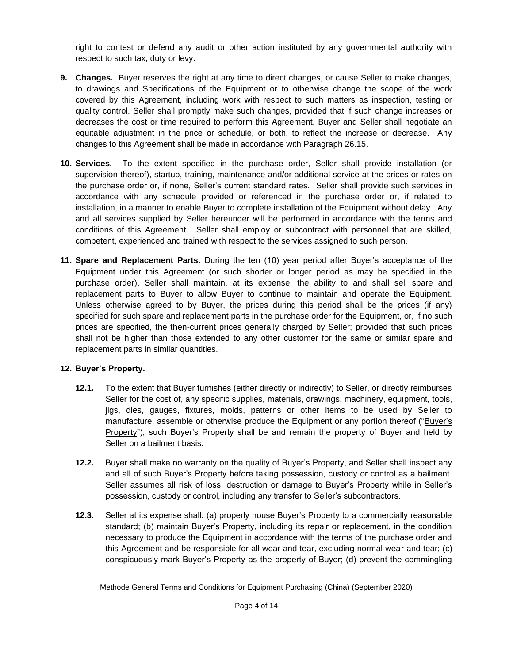right to contest or defend any audit or other action instituted by any governmental authority with respect to such tax, duty or levy.

- **9. Changes.** Buyer reserves the right at any time to direct changes, or cause Seller to make changes, to drawings and Specifications of the Equipment or to otherwise change the scope of the work covered by this Agreement, including work with respect to such matters as inspection, testing or quality control. Seller shall promptly make such changes, provided that if such change increases or decreases the cost or time required to perform this Agreement, Buyer and Seller shall negotiate an equitable adjustment in the price or schedule, or both, to reflect the increase or decrease. Any changes to this Agreement shall be made in accordance with Paragraph 26.15.
- **10. Services.** To the extent specified in the purchase order, Seller shall provide installation (or supervision thereof), startup, training, maintenance and/or additional service at the prices or rates on the purchase order or, if none, Seller's current standard rates. Seller shall provide such services in accordance with any schedule provided or referenced in the purchase order or, if related to installation, in a manner to enable Buyer to complete installation of the Equipment without delay. Any and all services supplied by Seller hereunder will be performed in accordance with the terms and conditions of this Agreement. Seller shall employ or subcontract with personnel that are skilled, competent, experienced and trained with respect to the services assigned to such person.
- **11. Spare and Replacement Parts.** During the ten (10) year period after Buyer's acceptance of the Equipment under this Agreement (or such shorter or longer period as may be specified in the purchase order), Seller shall maintain, at its expense, the ability to and shall sell spare and replacement parts to Buyer to allow Buyer to continue to maintain and operate the Equipment. Unless otherwise agreed to by Buyer, the prices during this period shall be the prices (if any) specified for such spare and replacement parts in the purchase order for the Equipment, or, if no such prices are specified, the then-current prices generally charged by Seller; provided that such prices shall not be higher than those extended to any other customer for the same or similar spare and replacement parts in similar quantities.

### **12. Buyer's Property.**

- **12.1.** To the extent that Buyer furnishes (either directly or indirectly) to Seller, or directly reimburses Seller for the cost of, any specific supplies, materials, drawings, machinery, equipment, tools, jigs, dies, gauges, fixtures, molds, patterns or other items to be used by Seller to manufacture, assemble or otherwise produce the Equipment or any portion thereof ("Buyer's Property"), such Buyer's Property shall be and remain the property of Buyer and held by Seller on a bailment basis.
- **12.2.** Buyer shall make no warranty on the quality of Buyer's Property, and Seller shall inspect any and all of such Buyer's Property before taking possession, custody or control as a bailment. Seller assumes all risk of loss, destruction or damage to Buyer's Property while in Seller's possession, custody or control, including any transfer to Seller's subcontractors.
- **12.3.** Seller at its expense shall: (a) properly house Buyer's Property to a commercially reasonable standard; (b) maintain Buyer's Property, including its repair or replacement, in the condition necessary to produce the Equipment in accordance with the terms of the purchase order and this Agreement and be responsible for all wear and tear, excluding normal wear and tear; (c) conspicuously mark Buyer's Property as the property of Buyer; (d) prevent the commingling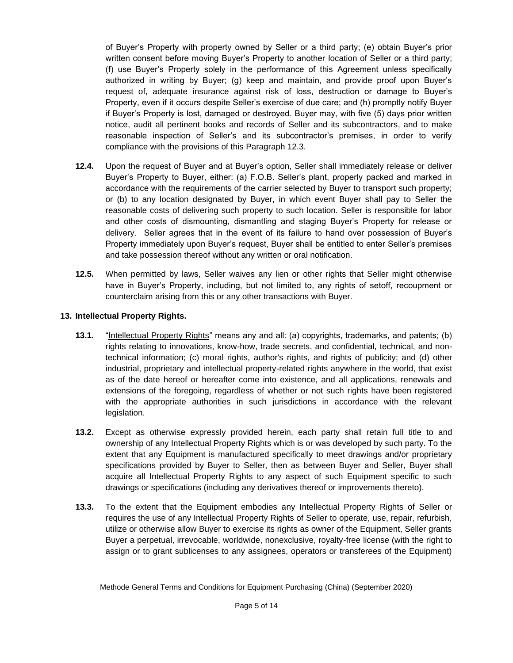of Buyer's Property with property owned by Seller or a third party; (e) obtain Buyer's prior written consent before moving Buyer's Property to another location of Seller or a third party; (f) use Buyer's Property solely in the performance of this Agreement unless specifically authorized in writing by Buyer; (g) keep and maintain, and provide proof upon Buyer's request of, adequate insurance against risk of loss, destruction or damage to Buyer's Property, even if it occurs despite Seller's exercise of due care; and (h) promptly notify Buyer if Buyer's Property is lost, damaged or destroyed. Buyer may, with five (5) days prior written notice, audit all pertinent books and records of Seller and its subcontractors, and to make reasonable inspection of Seller's and its subcontractor's premises, in order to verify compliance with the provisions of this Paragraph 12.3.

- **12.4.** Upon the request of Buyer and at Buyer's option, Seller shall immediately release or deliver Buyer's Property to Buyer, either: (a) F.O.B. Seller's plant, properly packed and marked in accordance with the requirements of the carrier selected by Buyer to transport such property; or (b) to any location designated by Buyer, in which event Buyer shall pay to Seller the reasonable costs of delivering such property to such location. Seller is responsible for labor and other costs of dismounting, dismantling and staging Buyer's Property for release or delivery. Seller agrees that in the event of its failure to hand over possession of Buyer's Property immediately upon Buyer's request, Buyer shall be entitled to enter Seller's premises and take possession thereof without any written or oral notification.
- **12.5.** When permitted by laws, Seller waives any lien or other rights that Seller might otherwise have in Buyer's Property, including, but not limited to, any rights of setoff, recoupment or counterclaim arising from this or any other transactions with Buyer.

### **13. Intellectual Property Rights.**

- **13.1.** "Intellectual Property Rights" means any and all: (a) copyrights, trademarks, and patents; (b) rights relating to innovations, know-how, trade secrets, and confidential, technical, and nontechnical information; (c) moral rights, author's rights, and rights of publicity; and (d) other industrial, proprietary and intellectual property-related rights anywhere in the world, that exist as of the date hereof or hereafter come into existence, and all applications, renewals and extensions of the foregoing, regardless of whether or not such rights have been registered with the appropriate authorities in such jurisdictions in accordance with the relevant legislation.
- **13.2.** Except as otherwise expressly provided herein, each party shall retain full title to and ownership of any Intellectual Property Rights which is or was developed by such party. To the extent that any Equipment is manufactured specifically to meet drawings and/or proprietary specifications provided by Buyer to Seller, then as between Buyer and Seller, Buyer shall acquire all Intellectual Property Rights to any aspect of such Equipment specific to such drawings or specifications (including any derivatives thereof or improvements thereto).
- **13.3.** To the extent that the Equipment embodies any Intellectual Property Rights of Seller or requires the use of any Intellectual Property Rights of Seller to operate, use, repair, refurbish, utilize or otherwise allow Buyer to exercise its rights as owner of the Equipment, Seller grants Buyer a perpetual, irrevocable, worldwide, nonexclusive, royalty-free license (with the right to assign or to grant sublicenses to any assignees, operators or transferees of the Equipment)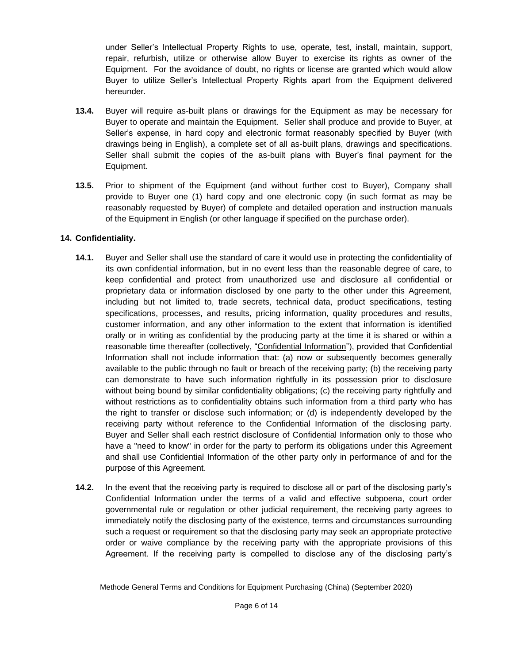under Seller's Intellectual Property Rights to use, operate, test, install, maintain, support, repair, refurbish, utilize or otherwise allow Buyer to exercise its rights as owner of the Equipment. For the avoidance of doubt, no rights or license are granted which would allow Buyer to utilize Seller's Intellectual Property Rights apart from the Equipment delivered hereunder.

- **13.4.** Buyer will require as-built plans or drawings for the Equipment as may be necessary for Buyer to operate and maintain the Equipment. Seller shall produce and provide to Buyer, at Seller's expense, in hard copy and electronic format reasonably specified by Buyer (with drawings being in English), a complete set of all as-built plans, drawings and specifications. Seller shall submit the copies of the as-built plans with Buyer's final payment for the Equipment.
- **13.5.** Prior to shipment of the Equipment (and without further cost to Buyer), Company shall provide to Buyer one (1) hard copy and one electronic copy (in such format as may be reasonably requested by Buyer) of complete and detailed operation and instruction manuals of the Equipment in English (or other language if specified on the purchase order).

### **14. Confidentiality.**

- **14.1.** Buyer and Seller shall use the standard of care it would use in protecting the confidentiality of its own confidential information, but in no event less than the reasonable degree of care, to keep confidential and protect from unauthorized use and disclosure all confidential or proprietary data or information disclosed by one party to the other under this Agreement, including but not limited to, trade secrets, technical data, product specifications, testing specifications, processes, and results, pricing information, quality procedures and results, customer information, and any other information to the extent that information is identified orally or in writing as confidential by the producing party at the time it is shared or within a reasonable time thereafter (collectively, "Confidential Information"), provided that Confidential Information shall not include information that: (a) now or subsequently becomes generally available to the public through no fault or breach of the receiving party; (b) the receiving party can demonstrate to have such information rightfully in its possession prior to disclosure without being bound by similar confidentiality obligations; (c) the receiving party rightfully and without restrictions as to confidentiality obtains such information from a third party who has the right to transfer or disclose such information; or (d) is independently developed by the receiving party without reference to the Confidential Information of the disclosing party. Buyer and Seller shall each restrict disclosure of Confidential Information only to those who have a "need to know" in order for the party to perform its obligations under this Agreement and shall use Confidential Information of the other party only in performance of and for the purpose of this Agreement.
- **14.2.** In the event that the receiving party is required to disclose all or part of the disclosing party's Confidential Information under the terms of a valid and effective subpoena, court order governmental rule or regulation or other judicial requirement, the receiving party agrees to immediately notify the disclosing party of the existence, terms and circumstances surrounding such a request or requirement so that the disclosing party may seek an appropriate protective order or waive compliance by the receiving party with the appropriate provisions of this Agreement. If the receiving party is compelled to disclose any of the disclosing party's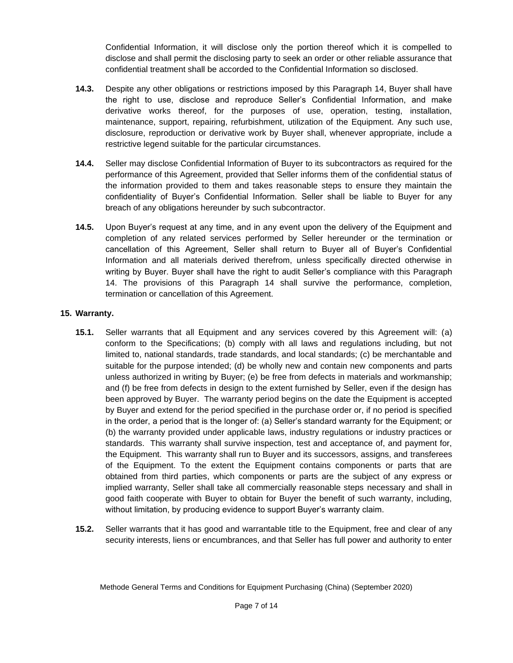Confidential Information, it will disclose only the portion thereof which it is compelled to disclose and shall permit the disclosing party to seek an order or other reliable assurance that confidential treatment shall be accorded to the Confidential Information so disclosed.

- **14.3.** Despite any other obligations or restrictions imposed by this Paragraph 14, Buyer shall have the right to use, disclose and reproduce Seller's Confidential Information, and make derivative works thereof, for the purposes of use, operation, testing, installation, maintenance, support, repairing, refurbishment, utilization of the Equipment. Any such use, disclosure, reproduction or derivative work by Buyer shall, whenever appropriate, include a restrictive legend suitable for the particular circumstances.
- **14.4.** Seller may disclose Confidential Information of Buyer to its subcontractors as required for the performance of this Agreement, provided that Seller informs them of the confidential status of the information provided to them and takes reasonable steps to ensure they maintain the confidentiality of Buyer's Confidential Information. Seller shall be liable to Buyer for any breach of any obligations hereunder by such subcontractor.
- **14.5.** Upon Buyer's request at any time, and in any event upon the delivery of the Equipment and completion of any related services performed by Seller hereunder or the termination or cancellation of this Agreement, Seller shall return to Buyer all of Buyer's Confidential Information and all materials derived therefrom, unless specifically directed otherwise in writing by Buyer. Buyer shall have the right to audit Seller's compliance with this Paragraph 14. The provisions of this Paragraph 14 shall survive the performance, completion, termination or cancellation of this Agreement.

## **15. Warranty.**

- **15.1.** Seller warrants that all Equipment and any services covered by this Agreement will: (a) conform to the Specifications; (b) comply with all laws and regulations including, but not limited to, national standards, trade standards, and local standards; (c) be merchantable and suitable for the purpose intended; (d) be wholly new and contain new components and parts unless authorized in writing by Buyer; (e) be free from defects in materials and workmanship; and (f) be free from defects in design to the extent furnished by Seller, even if the design has been approved by Buyer. The warranty period begins on the date the Equipment is accepted by Buyer and extend for the period specified in the purchase order or, if no period is specified in the order, a period that is the longer of: (a) Seller's standard warranty for the Equipment; or (b) the warranty provided under applicable laws, industry regulations or industry practices or standards. This warranty shall survive inspection, test and acceptance of, and payment for, the Equipment. This warranty shall run to Buyer and its successors, assigns, and transferees of the Equipment. To the extent the Equipment contains components or parts that are obtained from third parties, which components or parts are the subject of any express or implied warranty, Seller shall take all commercially reasonable steps necessary and shall in good faith cooperate with Buyer to obtain for Buyer the benefit of such warranty, including, without limitation, by producing evidence to support Buyer's warranty claim.
- **15.2.** Seller warrants that it has good and warrantable title to the Equipment, free and clear of any security interests, liens or encumbrances, and that Seller has full power and authority to enter

Methode General Terms and Conditions for Equipment Purchasing (China) (September 2020)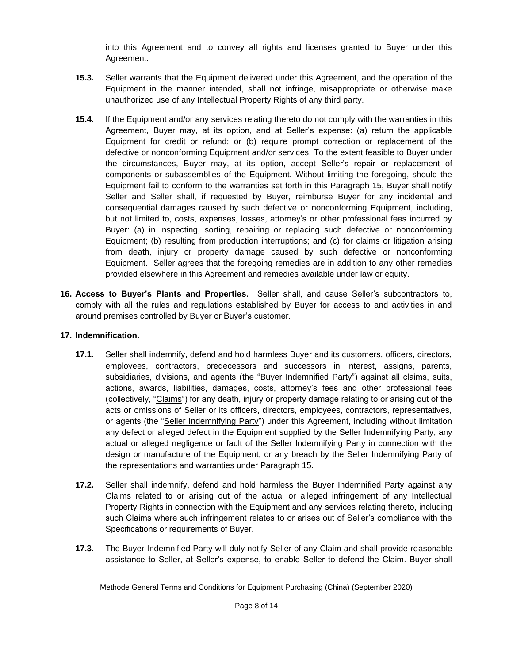into this Agreement and to convey all rights and licenses granted to Buyer under this Agreement.

- **15.3.** Seller warrants that the Equipment delivered under this Agreement, and the operation of the Equipment in the manner intended, shall not infringe, misappropriate or otherwise make unauthorized use of any Intellectual Property Rights of any third party.
- **15.4.** If the Equipment and/or any services relating thereto do not comply with the warranties in this Agreement, Buyer may, at its option, and at Seller's expense: (a) return the applicable Equipment for credit or refund; or (b) require prompt correction or replacement of the defective or nonconforming Equipment and/or services. To the extent feasible to Buyer under the circumstances, Buyer may, at its option, accept Seller's repair or replacement of components or subassemblies of the Equipment. Without limiting the foregoing, should the Equipment fail to conform to the warranties set forth in this Paragraph 15, Buyer shall notify Seller and Seller shall, if requested by Buyer, reimburse Buyer for any incidental and consequential damages caused by such defective or nonconforming Equipment, including, but not limited to, costs, expenses, losses, attorney's or other professional fees incurred by Buyer: (a) in inspecting, sorting, repairing or replacing such defective or nonconforming Equipment; (b) resulting from production interruptions; and (c) for claims or litigation arising from death, injury or property damage caused by such defective or nonconforming Equipment. Seller agrees that the foregoing remedies are in addition to any other remedies provided elsewhere in this Agreement and remedies available under law or equity.
- **16. Access to Buyer's Plants and Properties.** Seller shall, and cause Seller's subcontractors to, comply with all the rules and regulations established by Buyer for access to and activities in and around premises controlled by Buyer or Buyer's customer.

### **17. Indemnification.**

- **17.1.** Seller shall indemnify, defend and hold harmless Buyer and its customers, officers, directors, employees, contractors, predecessors and successors in interest, assigns, parents, subsidiaries, divisions, and agents (the "Buyer Indemnified Party") against all claims, suits, actions, awards, liabilities, damages, costs, attorney's fees and other professional fees (collectively, "Claims") for any death, injury or property damage relating to or arising out of the acts or omissions of Seller or its officers, directors, employees, contractors, representatives, or agents (the "Seller Indemnifying Party") under this Agreement, including without limitation any defect or alleged defect in the Equipment supplied by the Seller Indemnifying Party, any actual or alleged negligence or fault of the Seller Indemnifying Party in connection with the design or manufacture of the Equipment, or any breach by the Seller Indemnifying Party of the representations and warranties under Paragraph 15.
- **17.2.** Seller shall indemnify, defend and hold harmless the Buyer Indemnified Party against any Claims related to or arising out of the actual or alleged infringement of any Intellectual Property Rights in connection with the Equipment and any services relating thereto, including such Claims where such infringement relates to or arises out of Seller's compliance with the Specifications or requirements of Buyer.
- **17.3.** The Buyer Indemnified Party will duly notify Seller of any Claim and shall provide reasonable assistance to Seller, at Seller's expense, to enable Seller to defend the Claim. Buyer shall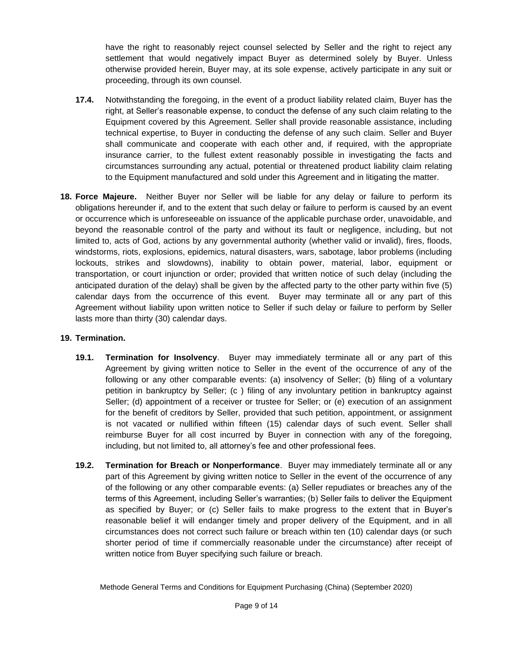have the right to reasonably reject counsel selected by Seller and the right to reject any settlement that would negatively impact Buyer as determined solely by Buyer. Unless otherwise provided herein, Buyer may, at its sole expense, actively participate in any suit or proceeding, through its own counsel.

- **17.4.** Notwithstanding the foregoing, in the event of a product liability related claim, Buyer has the right, at Seller's reasonable expense, to conduct the defense of any such claim relating to the Equipment covered by this Agreement. Seller shall provide reasonable assistance, including technical expertise, to Buyer in conducting the defense of any such claim. Seller and Buyer shall communicate and cooperate with each other and, if required, with the appropriate insurance carrier, to the fullest extent reasonably possible in investigating the facts and circumstances surrounding any actual, potential or threatened product liability claim relating to the Equipment manufactured and sold under this Agreement and in litigating the matter.
- **18. Force Majeure.** Neither Buyer nor Seller will be liable for any delay or failure to perform its obligations hereunder if, and to the extent that such delay or failure to perform is caused by an event or occurrence which is unforeseeable on issuance of the applicable purchase order, unavoidable, and beyond the reasonable control of the party and without its fault or negligence, including, but not limited to, acts of God, actions by any governmental authority (whether valid or invalid), fires, floods, windstorms, riots, explosions, epidemics, natural disasters, wars, sabotage, labor problems (including lockouts, strikes and slowdowns), inability to obtain power, material, labor, equipment or transportation, or court injunction or order; provided that written notice of such delay (including the anticipated duration of the delay) shall be given by the affected party to the other party within five (5) calendar days from the occurrence of this event. Buyer may terminate all or any part of this Agreement without liability upon written notice to Seller if such delay or failure to perform by Seller lasts more than thirty (30) calendar days.

### **19. Termination.**

- **19.1. Termination for Insolvency**. Buyer may immediately terminate all or any part of this Agreement by giving written notice to Seller in the event of the occurrence of any of the following or any other comparable events: (a) insolvency of Seller; (b) filing of a voluntary petition in bankruptcy by Seller; (c ) filing of any involuntary petition in bankruptcy against Seller; (d) appointment of a receiver or trustee for Seller; or (e) execution of an assignment for the benefit of creditors by Seller, provided that such petition, appointment, or assignment is not vacated or nullified within fifteen (15) calendar days of such event. Seller shall reimburse Buyer for all cost incurred by Buyer in connection with any of the foregoing, including, but not limited to, all attorney's fee and other professional fees.
- **19.2. Termination for Breach or Nonperformance**. Buyer may immediately terminate all or any part of this Agreement by giving written notice to Seller in the event of the occurrence of any of the following or any other comparable events: (a) Seller repudiates or breaches any of the terms of this Agreement, including Seller's warranties; (b) Seller fails to deliver the Equipment as specified by Buyer; or (c) Seller fails to make progress to the extent that in Buyer's reasonable belief it will endanger timely and proper delivery of the Equipment, and in all circumstances does not correct such failure or breach within ten (10) calendar days (or such shorter period of time if commercially reasonable under the circumstance) after receipt of written notice from Buyer specifying such failure or breach.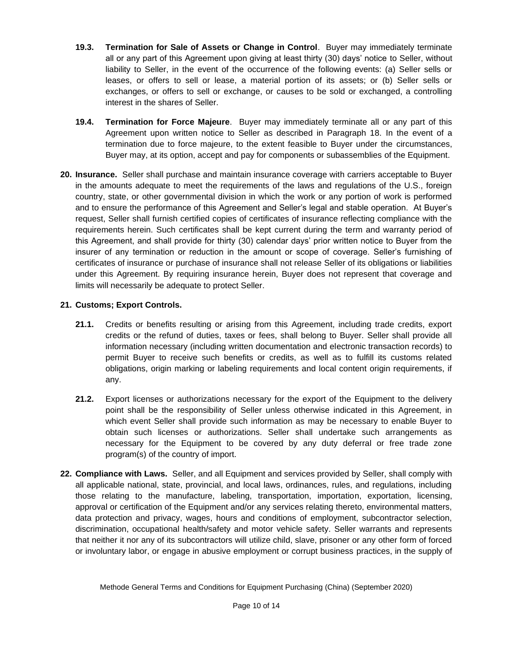- **19.3. Termination for Sale of Assets or Change in Control**. Buyer may immediately terminate all or any part of this Agreement upon giving at least thirty (30) days' notice to Seller, without liability to Seller, in the event of the occurrence of the following events: (a) Seller sells or leases, or offers to sell or lease, a material portion of its assets; or (b) Seller sells or exchanges, or offers to sell or exchange, or causes to be sold or exchanged, a controlling interest in the shares of Seller.
- **19.4. Termination for Force Majeure**. Buyer may immediately terminate all or any part of this Agreement upon written notice to Seller as described in Paragraph 18. In the event of a termination due to force majeure, to the extent feasible to Buyer under the circumstances, Buyer may, at its option, accept and pay for components or subassemblies of the Equipment.
- **20. Insurance.** Seller shall purchase and maintain insurance coverage with carriers acceptable to Buyer in the amounts adequate to meet the requirements of the laws and regulations of the U.S., foreign country, state, or other governmental division in which the work or any portion of work is performed and to ensure the performance of this Agreement and Seller's legal and stable operation. At Buyer's request, Seller shall furnish certified copies of certificates of insurance reflecting compliance with the requirements herein. Such certificates shall be kept current during the term and warranty period of this Agreement, and shall provide for thirty (30) calendar days' prior written notice to Buyer from the insurer of any termination or reduction in the amount or scope of coverage. Seller's furnishing of certificates of insurance or purchase of insurance shall not release Seller of its obligations or liabilities under this Agreement. By requiring insurance herein, Buyer does not represent that coverage and limits will necessarily be adequate to protect Seller.

## **21. Customs; Export Controls.**

- **21.1.** Credits or benefits resulting or arising from this Agreement, including trade credits, export credits or the refund of duties, taxes or fees, shall belong to Buyer. Seller shall provide all information necessary (including written documentation and electronic transaction records) to permit Buyer to receive such benefits or credits, as well as to fulfill its customs related obligations, origin marking or labeling requirements and local content origin requirements, if any.
- **21.2.** Export licenses or authorizations necessary for the export of the Equipment to the delivery point shall be the responsibility of Seller unless otherwise indicated in this Agreement, in which event Seller shall provide such information as may be necessary to enable Buyer to obtain such licenses or authorizations. Seller shall undertake such arrangements as necessary for the Equipment to be covered by any duty deferral or free trade zone program(s) of the country of import.
- **22. Compliance with Laws.** Seller, and all Equipment and services provided by Seller, shall comply with all applicable national, state, provincial, and local laws, ordinances, rules, and regulations, including those relating to the manufacture, labeling, transportation, importation, exportation, licensing, approval or certification of the Equipment and/or any services relating thereto, environmental matters, data protection and privacy, wages, hours and conditions of employment, subcontractor selection, discrimination, occupational health/safety and motor vehicle safety. Seller warrants and represents that neither it nor any of its subcontractors will utilize child, slave, prisoner or any other form of forced or involuntary labor, or engage in abusive employment or corrupt business practices, in the supply of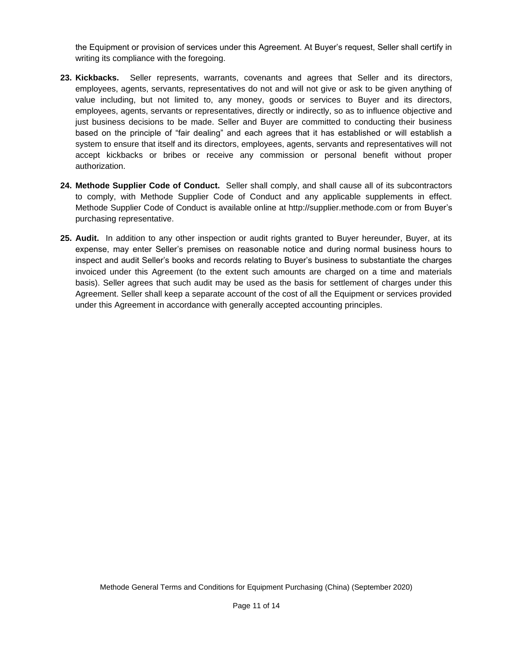the Equipment or provision of services under this Agreement. At Buyer's request, Seller shall certify in writing its compliance with the foregoing.

- **23. Kickbacks.** Seller represents, warrants, covenants and agrees that Seller and its directors, employees, agents, servants, representatives do not and will not give or ask to be given anything of value including, but not limited to, any money, goods or services to Buyer and its directors, employees, agents, servants or representatives, directly or indirectly, so as to influence objective and just business decisions to be made. Seller and Buyer are committed to conducting their business based on the principle of "fair dealing" and each agrees that it has established or will establish a system to ensure that itself and its directors, employees, agents, servants and representatives will not accept kickbacks or bribes or receive any commission or personal benefit without proper authorization.
- **24. Methode Supplier Code of Conduct.** Seller shall comply, and shall cause all of its subcontractors to comply, with Methode Supplier Code of Conduct and any applicable supplements in effect. Methode Supplier Code of Conduct is available online at http://supplier.methode.com or from Buyer's purchasing representative.
- **25. Audit.** In addition to any other inspection or audit rights granted to Buyer hereunder, Buyer, at its expense, may enter Seller's premises on reasonable notice and during normal business hours to inspect and audit Seller's books and records relating to Buyer's business to substantiate the charges invoiced under this Agreement (to the extent such amounts are charged on a time and materials basis). Seller agrees that such audit may be used as the basis for settlement of charges under this Agreement. Seller shall keep a separate account of the cost of all the Equipment or services provided under this Agreement in accordance with generally accepted accounting principles.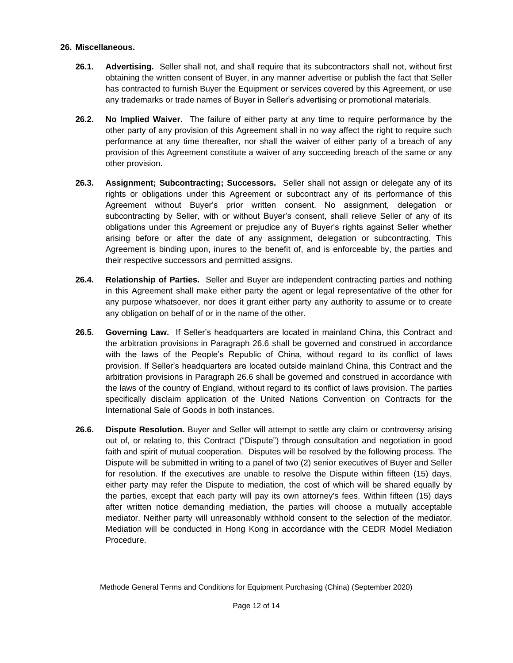#### **26. Miscellaneous.**

- **26.1. Advertising.** Seller shall not, and shall require that its subcontractors shall not, without first obtaining the written consent of Buyer, in any manner advertise or publish the fact that Seller has contracted to furnish Buyer the Equipment or services covered by this Agreement, or use any trademarks or trade names of Buyer in Seller's advertising or promotional materials.
- **26.2. No Implied Waiver.** The failure of either party at any time to require performance by the other party of any provision of this Agreement shall in no way affect the right to require such performance at any time thereafter, nor shall the waiver of either party of a breach of any provision of this Agreement constitute a waiver of any succeeding breach of the same or any other provision.
- **26.3. Assignment; Subcontracting; Successors.** Seller shall not assign or delegate any of its rights or obligations under this Agreement or subcontract any of its performance of this Agreement without Buyer's prior written consent. No assignment, delegation or subcontracting by Seller, with or without Buyer's consent, shall relieve Seller of any of its obligations under this Agreement or prejudice any of Buyer's rights against Seller whether arising before or after the date of any assignment, delegation or subcontracting. This Agreement is binding upon, inures to the benefit of, and is enforceable by, the parties and their respective successors and permitted assigns.
- **26.4. Relationship of Parties.** Seller and Buyer are independent contracting parties and nothing in this Agreement shall make either party the agent or legal representative of the other for any purpose whatsoever, nor does it grant either party any authority to assume or to create any obligation on behalf of or in the name of the other.
- **26.5. Governing Law.** If Seller's headquarters are located in mainland China, this Contract and the arbitration provisions in Paragraph 26.6 shall be governed and construed in accordance with the laws of the People's Republic of China, without regard to its conflict of laws provision. If Seller's headquarters are located outside mainland China, this Contract and the arbitration provisions in Paragraph 26.6 shall be governed and construed in accordance with the laws of the country of England, without regard to its conflict of laws provision. The parties specifically disclaim application of the United Nations Convention on Contracts for the International Sale of Goods in both instances.
- **26.6. Dispute Resolution.** Buyer and Seller will attempt to settle any claim or controversy arising out of, or relating to, this Contract ("Dispute") through consultation and negotiation in good faith and spirit of mutual cooperation. Disputes will be resolved by the following process. The Dispute will be submitted in writing to a panel of two (2) senior executives of Buyer and Seller for resolution. If the executives are unable to resolve the Dispute within fifteen (15) days, either party may refer the Dispute to mediation, the cost of which will be shared equally by the parties, except that each party will pay its own attorney's fees. Within fifteen (15) days after written notice demanding mediation, the parties will choose a mutually acceptable mediator. Neither party will unreasonably withhold consent to the selection of the mediator. Mediation will be conducted in Hong Kong in accordance with the CEDR Model Mediation Procedure.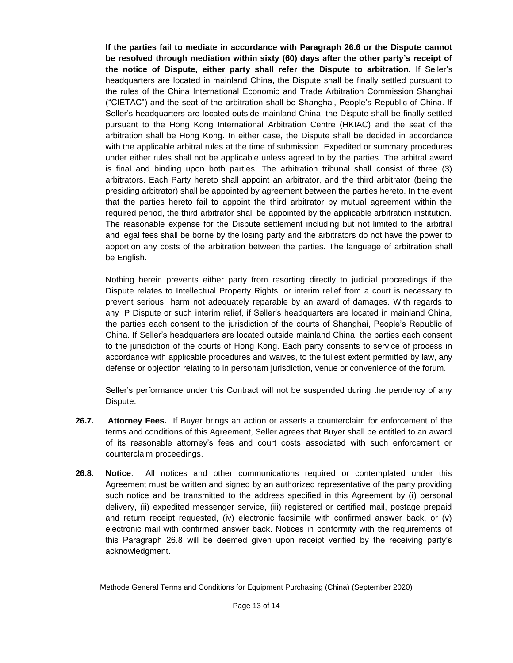**If the parties fail to mediate in accordance with Paragraph 26.6 or the Dispute cannot be resolved through mediation within sixty (60) days after the other party's receipt of the notice of Dispute, either party shall refer the Dispute to arbitration.** If Seller's headquarters are located in mainland China, the Dispute shall be finally settled pursuant to the rules of the China International Economic and Trade Arbitration Commission Shanghai ("CIETAC") and the seat of the arbitration shall be Shanghai, People's Republic of China. If Seller's headquarters are located outside mainland China, the Dispute shall be finally settled pursuant to the Hong Kong International Arbitration Centre (HKIAC) and the seat of the arbitration shall be Hong Kong. In either case, the Dispute shall be decided in accordance with the applicable arbitral rules at the time of submission. Expedited or summary procedures under either rules shall not be applicable unless agreed to by the parties. The arbitral award is final and binding upon both parties. The arbitration tribunal shall consist of three (3) arbitrators. Each Party hereto shall appoint an arbitrator, and the third arbitrator (being the presiding arbitrator) shall be appointed by agreement between the parties hereto. In the event that the parties hereto fail to appoint the third arbitrator by mutual agreement within the required period, the third arbitrator shall be appointed by the applicable arbitration institution. The reasonable expense for the Dispute settlement including but not limited to the arbitral and legal fees shall be borne by the losing party and the arbitrators do not have the power to apportion any costs of the arbitration between the parties. The language of arbitration shall be English.

Nothing herein prevents either party from resorting directly to judicial proceedings if the Dispute relates to Intellectual Property Rights, or interim relief from a court is necessary to prevent serious harm not adequately reparable by an award of damages. With regards to any IP Dispute or such interim relief, if Seller's headquarters are located in mainland China, the parties each consent to the jurisdiction of the courts of Shanghai, People's Republic of China. If Seller's headquarters are located outside mainland China, the parties each consent to the jurisdiction of the courts of Hong Kong. Each party consents to service of process in accordance with applicable procedures and waives, to the fullest extent permitted by law, any defense or objection relating to in personam jurisdiction, venue or convenience of the forum.

Seller's performance under this Contract will not be suspended during the pendency of any Dispute.

- **26.7. Attorney Fees.** If Buyer brings an action or asserts a counterclaim for enforcement of the terms and conditions of this Agreement, Seller agrees that Buyer shall be entitled to an award of its reasonable attorney's fees and court costs associated with such enforcement or counterclaim proceedings.
- **26.8. Notice**. All notices and other communications required or contemplated under this Agreement must be written and signed by an authorized representative of the party providing such notice and be transmitted to the address specified in this Agreement by (i) personal delivery, (ii) expedited messenger service, (iii) registered or certified mail, postage prepaid and return receipt requested, (iv) electronic facsimile with confirmed answer back, or (v) electronic mail with confirmed answer back. Notices in conformity with the requirements of this Paragraph 26.8 will be deemed given upon receipt verified by the receiving party's acknowledgment.